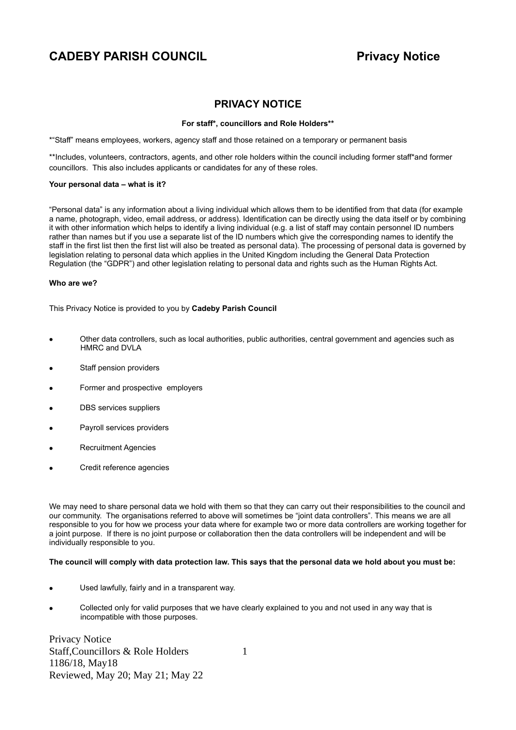## **PRIVACY NOTICE**

### **For staff\*, councillors and Role Holders\*\***

\*"Staff" means employees, workers, agency staff and those retained on a temporary or permanent basis

\*\*Includes, volunteers, contractors, agents, and other role holders within the council including former staff\*and former councillors. This also includes applicants or candidates for any of these roles.

### **Your personal data – what is it?**

"Personal data" is any information about a living individual which allows them to be identified from that data (for example a name, photograph, video, email address, or address). Identification can be directly using the data itself or by combining it with other information which helps to identify a living individual (e.g. a list of staff may contain personnel ID numbers rather than names but if you use a separate list of the ID numbers which give the corresponding names to identify the staff in the first list then the first list will also be treated as personal data). The processing of personal data is governed by legislation relating to personal data which applies in the United Kingdom including the General Data Protection Regulation (the "GDPR") and other legislation relating to personal data and rights such as the Human Rights Act.

### **Who are we?**

This Privacy Notice is provided to you by **Cadeby Parish Council**

- Other data controllers, such as local authorities, public authorities, central government and agencies such as HMRC and DVLA
- Staff pension providers
- Former and prospective employers
- DBS services suppliers
- Payroll services providers
- Recruitment Agencies
- Credit reference agencies

We may need to share personal data we hold with them so that they can carry out their responsibilities to the council and our community. The organisations referred to above will sometimes be "joint data controllers". This means we are all responsible to you for how we process your data where for example two or more data controllers are working together for a joint purpose. If there is no joint purpose or collaboration then the data controllers will be independent and will be individually responsible to you.

### **The council will comply with data protection law. This says that the personal data we hold about you must be:**

- Used lawfully, fairly and in a transparent way.
- Collected only for valid purposes that we have clearly explained to you and not used in any way that is incompatible with those purposes.

Privacy Notice Staff, Councillors & Role Holders 1 1186/18, May18 Reviewed, May 20; May 21; May 22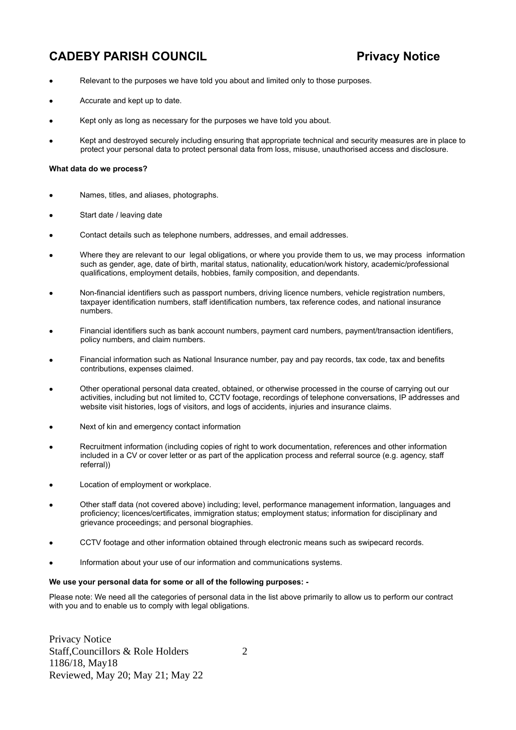- Relevant to the purposes we have told you about and limited only to those purposes.
- Accurate and kept up to date.
- Kept only as long as necessary for the purposes we have told you about.
- Kept and destroyed securely including ensuring that appropriate technical and security measures are in place to protect your personal data to protect personal data from loss, misuse, unauthorised access and disclosure.

### **What data do we process?**

- Names, titles, and aliases, photographs.
- Start date / leaving date
- Contact details such as telephone numbers, addresses, and email addresses.
- Where they are relevant to our legal obligations, or where you provide them to us, we may process information such as gender, age, date of birth, marital status, nationality, education/work history, academic/professional qualifications, employment details, hobbies, family composition, and dependants.
- Non-financial identifiers such as passport numbers, driving licence numbers, vehicle registration numbers, taxpayer identification numbers, staff identification numbers, tax reference codes, and national insurance numbers.
- Financial identifiers such as bank account numbers, payment card numbers, payment/transaction identifiers, policy numbers, and claim numbers.
- Financial information such as National Insurance number, pay and pay records, tax code, tax and benefits contributions, expenses claimed.
- Other operational personal data created, obtained, or otherwise processed in the course of carrying out our activities, including but not limited to, CCTV footage, recordings of telephone conversations, IP addresses and website visit histories, logs of visitors, and logs of accidents, injuries and insurance claims.
- Next of kin and emergency contact information
- Recruitment information (including copies of right to work documentation, references and other information included in a CV or cover letter or as part of the application process and referral source (e.g. agency, staff referral))
- Location of employment or workplace.
- Other staff data (not covered above) including; level, performance management information, languages and proficiency; licences/certificates, immigration status; employment status; information for disciplinary and grievance proceedings; and personal biographies.
- CCTV footage and other information obtained through electronic means such as swipecard records.
- Information about your use of our information and communications systems.

#### **We use your personal data for some or all of the following purposes: -**

Please note: We need all the categories of personal data in the list above primarily to allow us to perform our contract with you and to enable us to comply with legal obligations.

Privacy Notice Staff, Councillors & Role Holders 2 1186/18, May18 Reviewed, May 20; May 21; May 22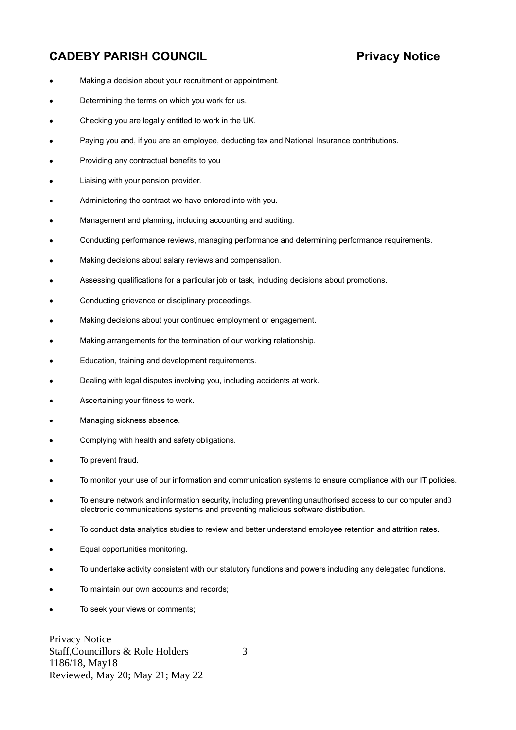- Making a decision about your recruitment or appointment.
- Determining the terms on which you work for us.
- Checking you are legally entitled to work in the UK.
- Paying you and, if you are an employee, deducting tax and National Insurance contributions.
- Providing any contractual benefits to you
- Liaising with your pension provider.
- Administering the contract we have entered into with you.
- Management and planning, including accounting and auditing.
- Conducting performance reviews, managing performance and determining performance requirements.
- Making decisions about salary reviews and compensation.
- Assessing qualifications for a particular job or task, including decisions about promotions.
- Conducting grievance or disciplinary proceedings.
- Making decisions about your continued employment or engagement.
- Making arrangements for the termination of our working relationship.
- Education, training and development requirements.
- Dealing with legal disputes involving you, including accidents at work.
- Ascertaining your fitness to work.
- Managing sickness absence.
- Complying with health and safety obligations.
- To prevent fraud.
- To monitor your use of our information and communication systems to ensure compliance with our IT policies.
- To ensure network and information security, including preventing unauthorised access to our computer and3 electronic communications systems and preventing malicious software distribution.
- To conduct data analytics studies to review and better understand employee retention and attrition rates.
- Equal opportunities monitoring.
- To undertake activity consistent with our statutory functions and powers including any delegated functions.
- To maintain our own accounts and records;
- To seek your views or comments;

Privacy Notice Staff, Councillors & Role Holders 3 1186/18, May18 Reviewed, May 20; May 21; May 22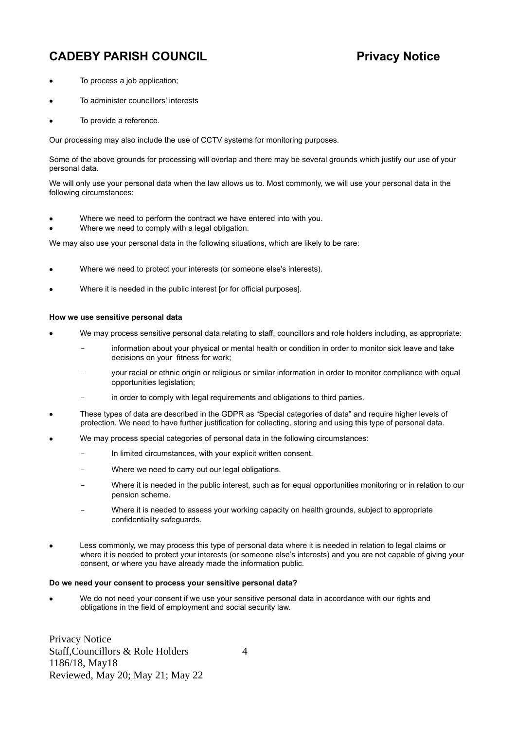- To process a job application;
- To administer councillors' interests
- To provide a reference.

Our processing may also include the use of CCTV systems for monitoring purposes.

Some of the above grounds for processing will overlap and there may be several grounds which justify our use of your personal data.

We will only use your personal data when the law allows us to. Most commonly, we will use your personal data in the following circumstances:

- Where we need to perform the contract we have entered into with you.
- Where we need to comply with a legal obligation.

We may also use your personal data in the following situations, which are likely to be rare:

- Where we need to protect your interests (or someone else's interests).
- Where it is needed in the public interest [or for official purposes].

### **How we use sensitive personal data**

- We may process sensitive personal data relating to staff, councillors and role holders including, as appropriate:
	- information about your physical or mental health or condition in order to monitor sick leave and take decisions on your fitness for work;
	- your racial or ethnic origin or religious or similar information in order to monitor compliance with equal opportunities legislation;
	- in order to comply with legal requirements and obligations to third parties.
- These types of data are described in the GDPR as "Special categories of data" and require higher levels of protection. We need to have further justification for collecting, storing and using this type of personal data.
- We may process special categories of personal data in the following circumstances:
	- In limited circumstances, with your explicit written consent.
	- Where we need to carry out our legal obligations.
	- Where it is needed in the public interest, such as for equal opportunities monitoring or in relation to our pension scheme.
	- Where it is needed to assess your working capacity on health grounds, subject to appropriate confidentiality safeguards.
- Less commonly, we may process this type of personal data where it is needed in relation to legal claims or where it is needed to protect your interests (or someone else's interests) and you are not capable of giving your consent, or where you have already made the information public.

### **Do we need your consent to process your sensitive personal data?**

 We do not need your consent if we use your sensitive personal data in accordance with our rights and obligations in the field of employment and social security law.

Privacy Notice Staff, Councillors & Role Holders 4 1186/18, May18 Reviewed, May 20; May 21; May 22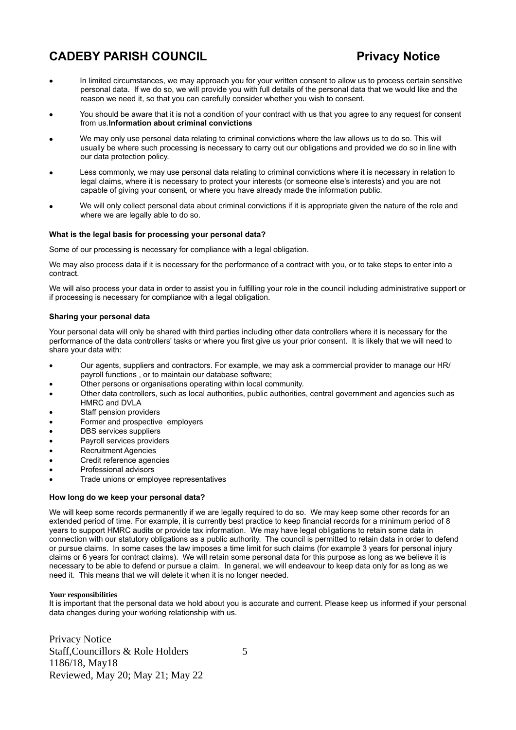- In limited circumstances, we may approach you for your written consent to allow us to process certain sensitive personal data. If we do so, we will provide you with full details of the personal data that we would like and the reason we need it, so that you can carefully consider whether you wish to consent.
- You should be aware that it is not a condition of your contract with us that you agree to any request for consent from us.**Information about criminal convictions**
- We may only use personal data relating to criminal convictions where the law allows us to do so. This will usually be where such processing is necessary to carry out our obligations and provided we do so in line with our data protection policy.
- Less commonly, we may use personal data relating to criminal convictions where it is necessary in relation to legal claims, where it is necessary to protect your interests (or someone else's interests) and you are not capable of giving your consent, or where you have already made the information public.
- We will only collect personal data about criminal convictions if it is appropriate given the nature of the role and where we are legally able to do so.

### **What is the legal basis for processing your personal data?**

Some of our processing is necessary for compliance with a legal obligation.

We may also process data if it is necessary for the performance of a contract with you, or to take steps to enter into a contract.

We will also process your data in order to assist you in fulfilling your role in the council including administrative support or if processing is necessary for compliance with a legal obligation.

### **Sharing your personal data**

Your personal data will only be shared with third parties including other data controllers where it is necessary for the performance of the data controllers' tasks or where you first give us your prior consent. It is likely that we will need to share your data with:

- Our agents, suppliers and contractors. For example, we may ask a commercial provider to manage our HR/ payroll functions , or to maintain our database software;
- Other persons or organisations operating within local community.
- Other data controllers, such as local authorities, public authorities, central government and agencies such as HMRC and DVLA
- Staff pension providers
- Former and prospective employers
- DBS services suppliers
- Payroll services providers
- Recruitment Agencies
- Credit reference agencies
- Professional advisors
- Trade unions or employee representatives

### **How long do we keep your personal data?**

We will keep some records permanently if we are legally required to do so. We may keep some other records for an extended period of time. For example, it is currently best practice to keep financial records for a minimum period of 8 years to support HMRC audits or provide tax information. We may have legal obligations to retain some data in connection with our statutory obligations as a public authority. The council is permitted to retain data in order to defend or pursue claims. In some cases the law imposes a time limit for such claims (for example 3 years for personal injury claims or 6 years for contract claims). We will retain some personal data for this purpose as long as we believe it is necessary to be able to defend or pursue a claim. In general, we will endeavour to keep data only for as long as we need it. This means that we will delete it when it is no longer needed.

### **Your responsibilities**

It is important that the personal data we hold about you is accurate and current. Please keep us informed if your personal data changes during your working relationship with us.

Privacy Notice Staff, Councillors & Role Holders 5 1186/18, May18 Reviewed, May 20; May 21; May 22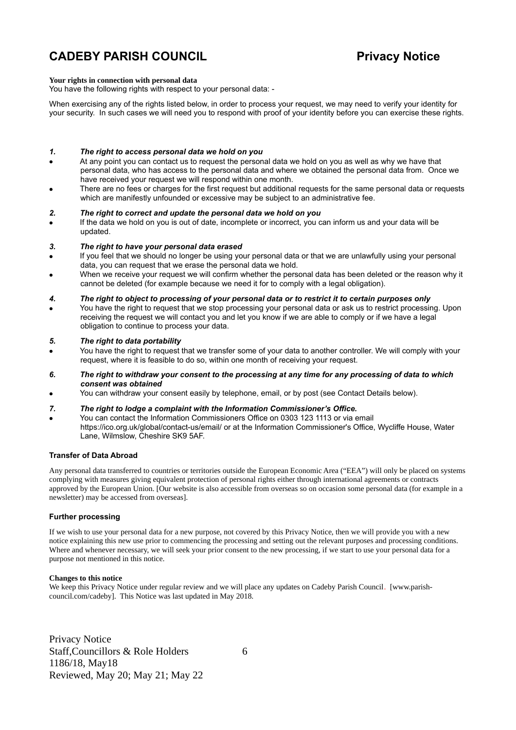#### **Your rights in connection with personal data**

You have the following rights with respect to your personal data: -

When exercising any of the rights listed below, in order to process your request, we may need to verify your identity for your security. In such cases we will need you to respond with proof of your identity before you can exercise these rights.

#### *1. The right to access personal data we hold on you*

- At any point you can contact us to request the personal data we hold on you as well as why we have that personal data, who has access to the personal data and where we obtained the personal data from. Once we have received your request we will respond within one month.
- There are no fees or charges for the first request but additional requests for the same personal data or requests which are manifestly unfounded or excessive may be subject to an administrative fee.

#### *2. The right to correct and update the personal data we hold on you*

 If the data we hold on you is out of date, incomplete or incorrect, you can inform us and your data will be updated.

#### *3. The right to have your personal data erased*

- If you feel that we should no longer be using your personal data or that we are unlawfully using your personal data, you can request that we erase the personal data we hold.
- When we receive your request we will confirm whether the personal data has been deleted or the reason why it cannot be deleted (for example because we need it for to comply with a legal obligation).

#### *4. The right to object to processing of your personal data or to restrict it to certain purposes only*

 You have the right to request that we stop processing your personal data or ask us to restrict processing. Upon receiving the request we will contact you and let you know if we are able to comply or if we have a legal obligation to continue to process your data.

#### *5. The right to data portability*

- You have the right to request that we transfer some of your data to another controller. We will comply with your request, where it is feasible to do so, within one month of receiving your request.
- *6. The right to withdraw your consent to the processing at any time for any processing of data to which consent was obtained*
- You can withdraw your consent easily by telephone, email, or by post (see Contact Details below).

#### *7. The right to lodge a complaint with the Information Commissioner's Office.*

 You can contact the Information Commissioners Office on 0303 123 1113 or via email https://ico.org.uk/global/contact-us/email/ or at the Information Commissioner's Office, Wycliffe House, Water Lane, Wilmslow, Cheshire SK9 5AF.

#### **Transfer of Data Abroad**

Any personal data transferred to countries or territories outside the European Economic Area ("EEA") will only be placed on systems complying with measures giving equivalent protection of personal rights either through international agreements or contracts approved by the European Union. [Our website is also accessible from overseas so on occasion some personal data (for example in a newsletter) may be accessed from overseas].

#### **Further processing**

If we wish to use your personal data for a new purpose, not covered by this Privacy Notice, then we will provide you with a new notice explaining this new use prior to commencing the processing and setting out the relevant purposes and processing conditions. Where and whenever necessary, we will seek your prior consent to the new processing, if we start to use your personal data for a purpose not mentioned in this notice.

### **Changes to this notice**

We keep this Privacy Notice under regular review and we will place any updates on Cadeby Parish Council. [www.parishcouncil.com/cadeby]. This Notice was last updated in May 2018.

Privacy Notice Staff, Councillors & Role Holders 6 1186/18, May18 Reviewed, May 20; May 21; May 22